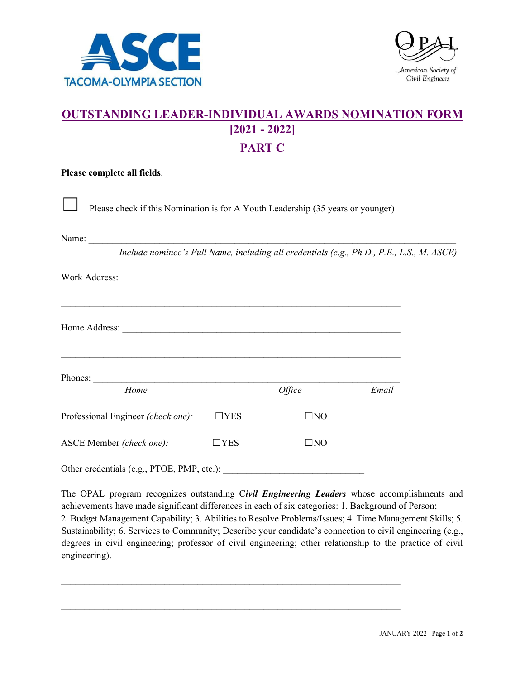



## **OUTSTANDING LEADER-INDIVIDUAL AWARDS NOMINATION FORM [2021 - 2022] PART C**

| Please complete all fields.                                                      |            |                                                                                           |       |  |
|----------------------------------------------------------------------------------|------------|-------------------------------------------------------------------------------------------|-------|--|
| Please check if this Nomination is for A Youth Leadership (35 years or younger)  |            |                                                                                           |       |  |
|                                                                                  |            |                                                                                           |       |  |
|                                                                                  |            | Include nominee's Full Name, including all credentials (e.g., Ph.D., P.E., L.S., M. ASCE) |       |  |
|                                                                                  |            |                                                                                           |       |  |
| ,我们也不能在这里的时候,我们也不能在这里的时候,我们也不能会在这里的时候,我们也不能会在这里的时候,我们也不能会在这里的时候,我们也不能会在这里的时候,我们也 |            |                                                                                           |       |  |
|                                                                                  |            |                                                                                           |       |  |
|                                                                                  |            |                                                                                           |       |  |
| Home                                                                             |            | Office                                                                                    | Email |  |
| Professional Engineer (check one):                                               | $\Box$ YES | $\square$ NO                                                                              |       |  |
| ASCE Member (check one):                                                         | $\Box$ YES | $\square$ NO                                                                              |       |  |
| Other credentials (e.g., PTOE, PMP, etc.):                                       |            |                                                                                           |       |  |

The OPAL program recognizes outstanding C*ivil Engineering Leaders* whose accomplishments and achievements have made significant differences in each of six categories: 1. Background of Person; 2. Budget Management Capability; 3. Abilities to Resolve Problems/Issues; 4. Time Management Skills; 5. Sustainability; 6. Services to Community; Describe your candidate's connection to civil engineering (e.g., degrees in civil engineering; professor of civil engineering; other relationship to the practice of civil engineering).

 $\mathcal{L}_\text{max} = \mathcal{L}_\text{max} = \mathcal{L}_\text{max} = \mathcal{L}_\text{max} = \mathcal{L}_\text{max} = \mathcal{L}_\text{max} = \mathcal{L}_\text{max} = \mathcal{L}_\text{max} = \mathcal{L}_\text{max} = \mathcal{L}_\text{max} = \mathcal{L}_\text{max} = \mathcal{L}_\text{max} = \mathcal{L}_\text{max} = \mathcal{L}_\text{max} = \mathcal{L}_\text{max} = \mathcal{L}_\text{max} = \mathcal{L}_\text{max} = \mathcal{L}_\text{max} = \mathcal{$ 

 $\_$  , and the set of the set of the set of the set of the set of the set of the set of the set of the set of the set of the set of the set of the set of the set of the set of the set of the set of the set of the set of th